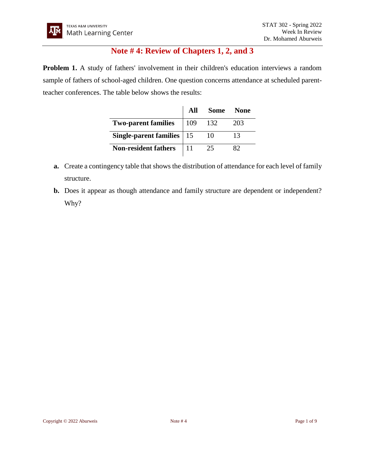## **Note # 4: Review of Chapters 1, 2, and 3**

**Problem 1.** A study of fathers' involvement in their children's education interviews a random sample of fathers of school-aged children. One question concerns attendance at scheduled parentteacher conferences. The table below shows the results:

|                             | All  |      | Some None |
|-----------------------------|------|------|-----------|
| <b>Two-parent families</b>  | 109  | -132 | 203       |
| Single-parent families   15 |      | 10   | 13        |
| <b>Non-resident fathers</b> | l 11 | 25   |           |

- **a.** Create a contingency table that shows the distribution of attendance for each level of family structure.
- **b.** Does it appear as though attendance and family structure are dependent or independent? Why?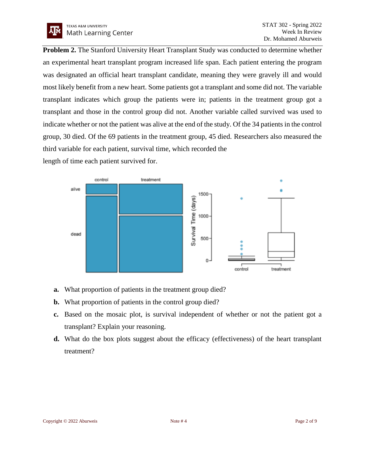**Problem 2.** The Stanford University Heart Transplant Study was conducted to determine whether an experimental heart transplant program increased life span. Each patient entering the program was designated an official heart transplant candidate, meaning they were gravely ill and would most likely benefit from a new heart. Some patients got a transplant and some did not. The variable transplant indicates which group the patients were in; patients in the treatment group got a transplant and those in the control group did not. Another variable called survived was used to indicate whether or not the patient was alive at the end of the study. Of the 34 patients in the control group, 30 died. Of the 69 patients in the treatment group, 45 died. Researchers also measured the third variable for each patient, survival time, which recorded the

length of time each patient survived for.



- **a.** What proportion of patients in the treatment group died?
- **b.** What proportion of patients in the control group died?
- **c.** Based on the mosaic plot, is survival independent of whether or not the patient got a transplant? Explain your reasoning.
- **d.** What do the box plots suggest about the efficacy (effectiveness) of the heart transplant treatment?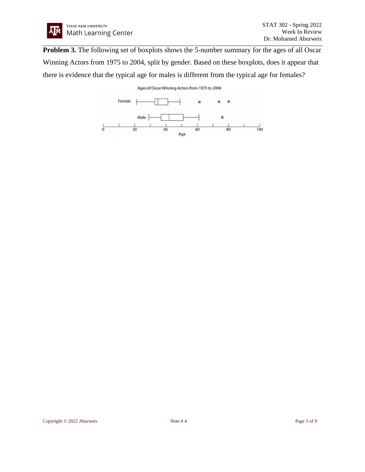

**Problem 3.** The following set of boxplots shows the 5-number summary for the ages of all Oscar Winning Actors from 1975 to 2004, split by gender. Based on these boxplots, does it appear that there is evidence that the typical age for males is different from the typical age for females?

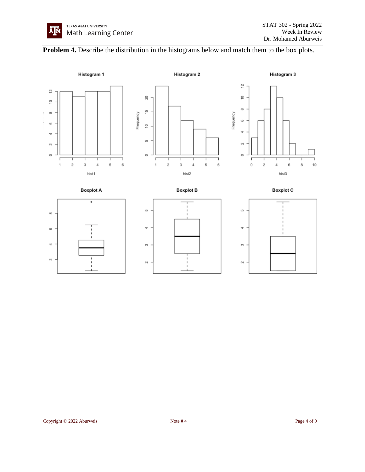## **Problem 4.** Describe the distribution in the histograms below and match them to the box plots.

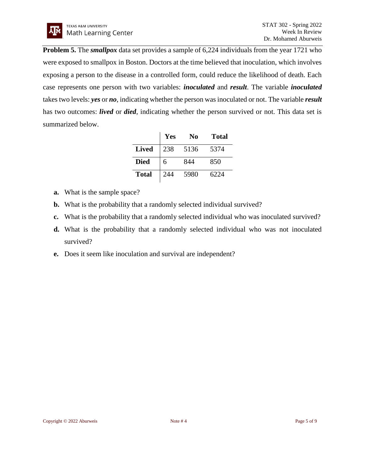**Problem 5.** The *smallpox* data set provides a sample of 6,224 individuals from the year 1721 who were exposed to smallpox in Boston. Doctors at the time believed that inoculation, which involves exposing a person to the disease in a controlled form, could reduce the likelihood of death. Each case represents one person with two variables: *inoculated* and *result*. The variable *inoculated* takes two levels: *yes* or *no*, indicating whether the person was inoculated or not. The variable *result* has two outcomes: *lived* or *died*, indicating whether the person survived or not. This data set is summarized below.

|              | Yes | No   | Total |
|--------------|-----|------|-------|
| <b>Lived</b> | 238 | 5136 | 5374  |
| <b>Died</b>  | 6   | 844  | 850   |
| <b>Total</b> | 244 | 5980 | 6224  |

- **a.** What is the sample space?
- **b.** What is the probability that a randomly selected individual survived?
- **c.** What is the probability that a randomly selected individual who was inoculated survived?
- **d.** What is the probability that a randomly selected individual who was not inoculated survived?
- **e.** Does it seem like inoculation and survival are independent?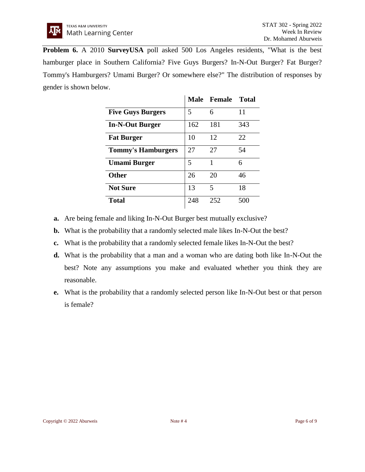**Problem 6.** A 2010 **SurveyUSA** poll asked 500 Los Angeles residents, "What is the best hamburger place in Southern California? Five Guys Burgers? In-N-Out Burger? Fat Burger? Tommy's Hamburgers? Umami Burger? Or somewhere else?" The distribution of responses by gender is shown below.

|                           |     | Male Female | <b>Total</b> |
|---------------------------|-----|-------------|--------------|
| <b>Five Guys Burgers</b>  | 5   | 6           | 11           |
| <b>In-N-Out Burger</b>    | 162 | 181         | 343          |
| <b>Fat Burger</b>         | 10  | 12          | 22           |
| <b>Tommy's Hamburgers</b> | 27  | 27          | 54           |
| Umami Burger              | 5   | 1           | 6            |
| <b>Other</b>              | 26  | 20          | 46           |
| <b>Not Sure</b>           | 13  | 5           | 18           |
| <b>Total</b>              | 248 | 252         | 500          |

- **a.** Are being female and liking In-N-Out Burger best mutually exclusive?
- **b.** What is the probability that a randomly selected male likes In-N-Out the best?
- **c.** What is the probability that a randomly selected female likes In-N-Out the best?
- **d.** What is the probability that a man and a woman who are dating both like In-N-Out the best? Note any assumptions you make and evaluated whether you think they are reasonable.
- **e.** What is the probability that a randomly selected person like In-N-Out best or that person is female?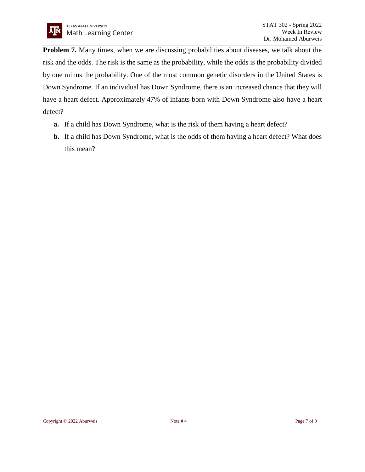**Problem 7.** Many times, when we are discussing probabilities about diseases, we talk about the risk and the odds. The risk is the same as the probability, while the odds is the probability divided by one minus the probability. One of the most common genetic disorders in the United States is Down Syndrome. If an individual has Down Syndrome, there is an increased chance that they will have a heart defect. Approximately 47% of infants born with Down Syndrome also have a heart defect?

- **a.** If a child has Down Syndrome, what is the risk of them having a heart defect?
- **b.** If a child has Down Syndrome, what is the odds of them having a heart defect? What does this mean?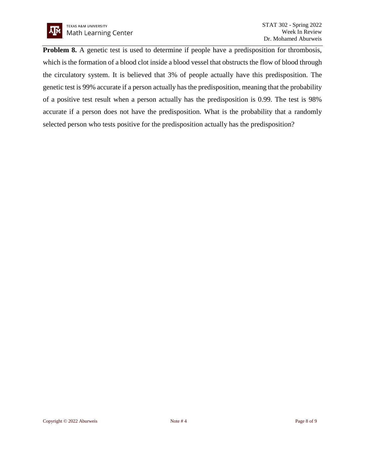

**Problem 8.** A genetic test is used to determine if people have a predisposition for thrombosis, which is the formation of a blood clot inside a blood vessel that obstructs the flow of blood through the circulatory system. It is believed that 3% of people actually have this predisposition. The genetic test is 99% accurate if a person actually has the predisposition, meaning that the probability of a positive test result when a person actually has the predisposition is 0.99. The test is 98% accurate if a person does not have the predisposition. What is the probability that a randomly selected person who tests positive for the predisposition actually has the predisposition?